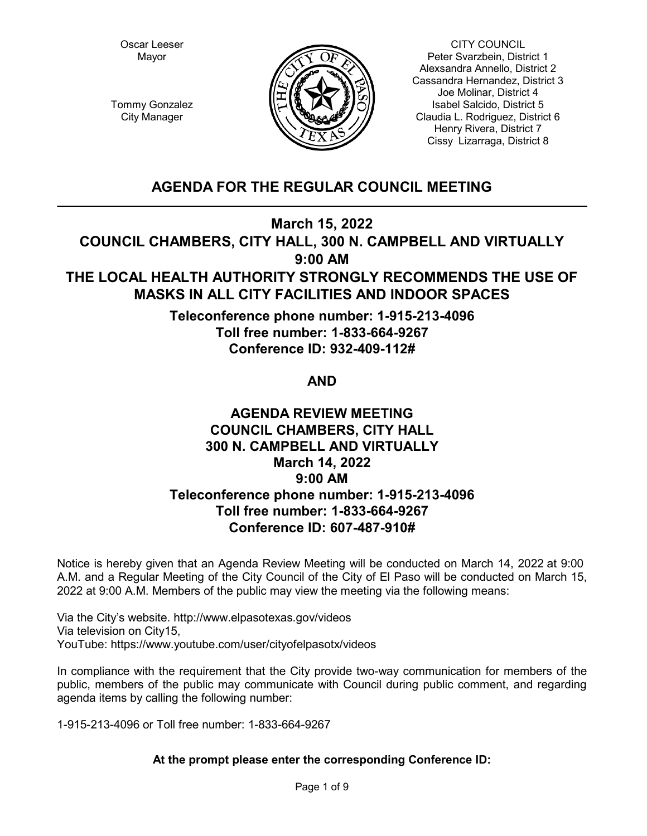Oscar Leeser Mayor



CITY COUNCIL Peter Svarzbein, District 1 Alexsandra Annello, District 2 Cassandra Hernandez, District 3 Joe Molinar, District 4 Isabel Salcido, District 5 Claudia L. Rodriguez, District 6 Henry Rivera, District 7 Cissy Lizarraga, District 8

Tommy Gonzalez City Manager

# **AGENDA FOR THE REGULAR COUNCIL MEETING**

**March 15, 2022**

**COUNCIL CHAMBERS, CITY HALL, 300 N. CAMPBELL AND VIRTUALLY 9:00 AM**

# **THE LOCAL HEALTH AUTHORITY STRONGLY RECOMMENDS THE USE OF MASKS IN ALL CITY FACILITIES AND INDOOR SPACES**

**Teleconference phone number: 1-915-213-4096 Toll free number: 1-833-664-9267 Conference ID: 932-409-112#**

**AND**

# **AGENDA REVIEW MEETING COUNCIL CHAMBERS, CITY HALL 300 N. CAMPBELL AND VIRTUALLY March 14, 2022 9:00 AM Teleconference phone number: 1-915-213-4096 Toll free number: 1-833-664-9267 Conference ID: 607-487-910#**

Notice is hereby given that an Agenda Review Meeting will be conducted on March 14, 2022 at 9:00 A.M. and a Regular Meeting of the City Council of the City of El Paso will be conducted on March 15, 2022 at 9:00 A.M. Members of the public may view the meeting via the following means:

Via the City's website. http://www.elpasotexas.gov/videos Via television on City15, YouTube: https://www.youtube.com/user/cityofelpasotx/videos

In compliance with the requirement that the City provide two-way communication for members of the public, members of the public may communicate with Council during public comment, and regarding agenda items by calling the following number:

1-915-213-4096 or Toll free number: 1-833-664-9267

# **At the prompt please enter the corresponding Conference ID:**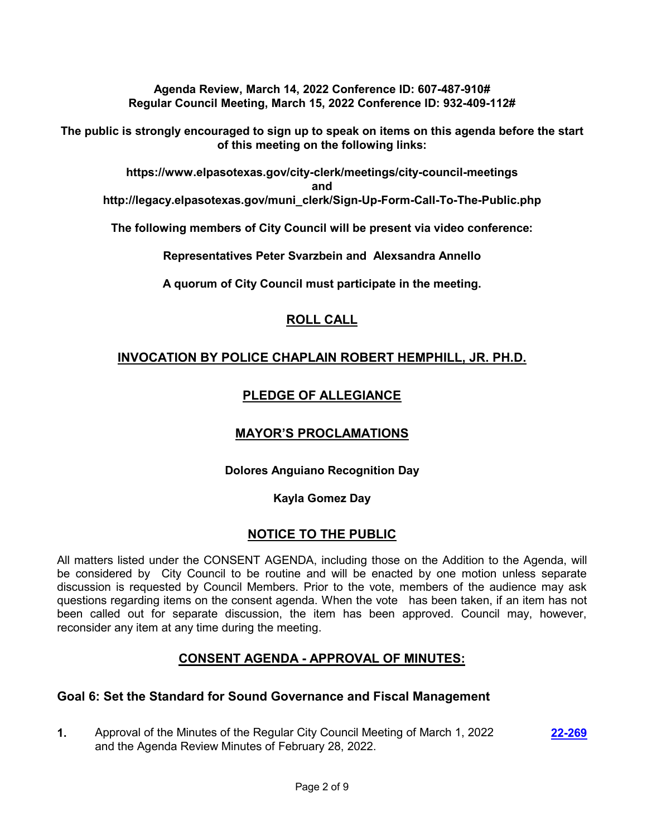**Agenda Review, March 14, 2022 Conference ID: 607-487-910# Regular Council Meeting, March 15, 2022 Conference ID: 932-409-112#**

**The public is strongly encouraged to sign up to speak on items on this agenda before the start of this meeting on the following links:**

**https://www.elpasotexas.gov/city-clerk/meetings/city-council-meetings and http://legacy.elpasotexas.gov/muni\_clerk/Sign-Up-Form-Call-To-The-Public.php**

**The following members of City Council will be present via video conference:**

**Representatives Peter Svarzbein and Alexsandra Annello**

**A quorum of City Council must participate in the meeting.**

# **ROLL CALL**

# **INVOCATION BY POLICE CHAPLAIN ROBERT HEMPHILL, JR. PH.D.**

# **PLEDGE OF ALLEGIANCE**

### **MAYOR'S PROCLAMATIONS**

### **Dolores Anguiano Recognition Day**

### **Kayla Gomez Day**

### **NOTICE TO THE PUBLIC**

All matters listed under the CONSENT AGENDA, including those on the Addition to the Agenda, will be considered by City Council to be routine and will be enacted by one motion unless separate discussion is requested by Council Members. Prior to the vote, members of the audience may ask questions regarding items on the consent agenda. When the vote has been taken, if an item has not been called out for separate discussion, the item has been approved. Council may, however, reconsider any item at any time during the meeting.

# **CONSENT AGENDA - APPROVAL OF MINUTES:**

### **Goal 6: Set the Standard for Sound Governance and Fiscal Management**

**1.** Approval of the Minutes of the Regular City Council Meeting of March 1, 2022 and the Agenda Review Minutes of February 28, 2022.

**[22-269](http://elpasotexas.legistar.com/gateway.aspx?m=l&id=/matter.aspx?key=6733)**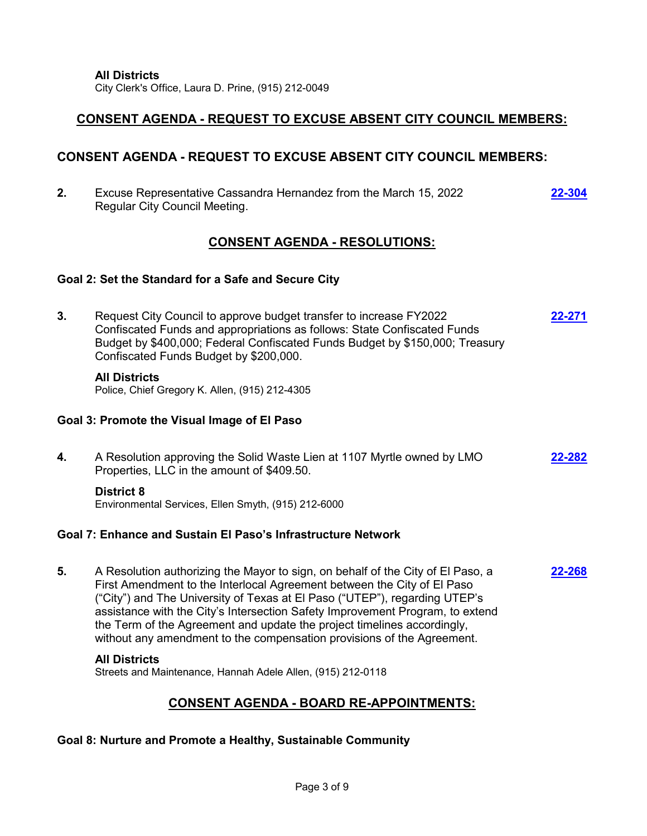City Clerk's Office, Laura D. Prine, (915) 212-0049

# **CONSENT AGENDA - REQUEST TO EXCUSE ABSENT CITY COUNCIL MEMBERS:**

# **CONSENT AGENDA - REQUEST TO EXCUSE ABSENT CITY COUNCIL MEMBERS:**

**2.** Excuse Representative Cassandra Hernandez from the March 15, 2022 Regular City Council Meeting. **[22-304](http://elpasotexas.legistar.com/gateway.aspx?m=l&id=/matter.aspx?key=6768)**

# **CONSENT AGENDA - RESOLUTIONS:**

### **Goal 2: Set the Standard for a Safe and Secure City**

**3.** Request City Council to approve budget transfer to increase FY2022 Confiscated Funds and appropriations as follows: State Confiscated Funds Budget by \$400,000; Federal Confiscated Funds Budget by \$150,000; Treasury Confiscated Funds Budget by \$200,000. **[22-271](http://elpasotexas.legistar.com/gateway.aspx?m=l&id=/matter.aspx?key=6735)**

#### **All Districts**

Police, Chief Gregory K. Allen, (915) 212-4305

### **Goal 3: Promote the Visual Image of El Paso**

**4.** A Resolution approving the Solid Waste Lien at 1107 Myrtle owned by LMO Properties, LLC in the amount of \$409.50. **[22-282](http://elpasotexas.legistar.com/gateway.aspx?m=l&id=/matter.aspx?key=6746)**

### **District 8**

Environmental Services, Ellen Smyth, (915) 212-6000

### **Goal 7: Enhance and Sustain El Paso's Infrastructure Network**

**5.** A Resolution authorizing the Mayor to sign, on behalf of the City of El Paso, a First Amendment to the Interlocal Agreement between the City of El Paso ("City") and The University of Texas at El Paso ("UTEP"), regarding UTEP's assistance with the City's Intersection Safety Improvement Program, to extend the Term of the Agreement and update the project timelines accordingly, without any amendment to the compensation provisions of the Agreement. **[22-268](http://elpasotexas.legistar.com/gateway.aspx?m=l&id=/matter.aspx?key=6732)**

### **All Districts**

Streets and Maintenance, Hannah Adele Allen, (915) 212-0118

# **CONSENT AGENDA - BOARD RE-APPOINTMENTS:**

### **Goal 8: Nurture and Promote a Healthy, Sustainable Community**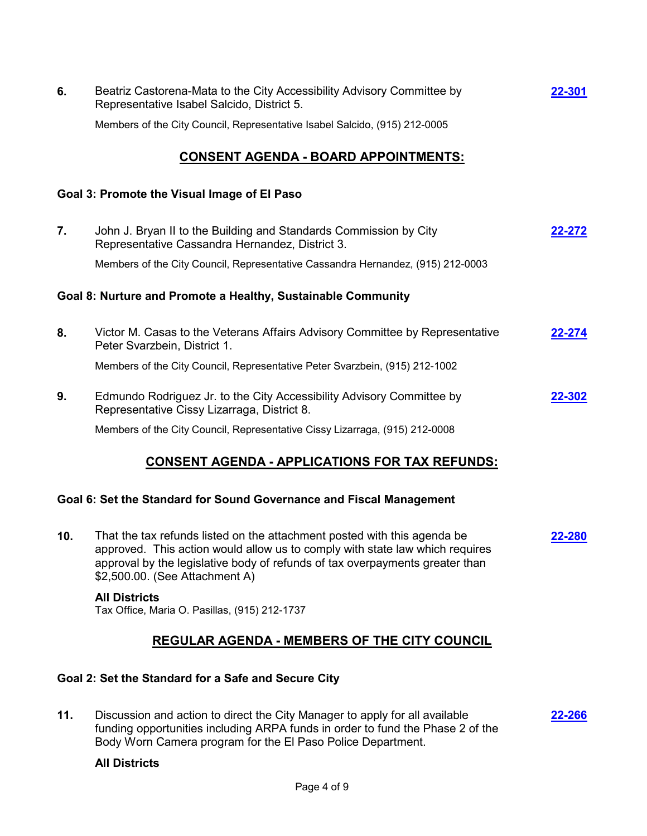| 6.  | Beatriz Castorena-Mata to the City Accessibility Advisory Committee by<br>Representative Isabel Salcido, District 5.                                                                                                                                                       | 22-301        |
|-----|----------------------------------------------------------------------------------------------------------------------------------------------------------------------------------------------------------------------------------------------------------------------------|---------------|
|     | Members of the City Council, Representative Isabel Salcido, (915) 212-0005                                                                                                                                                                                                 |               |
|     | <u>CONSENT AGENDA - BOARD APPOINTMENTS:</u>                                                                                                                                                                                                                                |               |
|     | Goal 3: Promote the Visual Image of El Paso                                                                                                                                                                                                                                |               |
| 7.  | John J. Bryan II to the Building and Standards Commission by City<br>Representative Cassandra Hernandez, District 3.                                                                                                                                                       | 22-272        |
|     | Members of the City Council, Representative Cassandra Hernandez, (915) 212-0003                                                                                                                                                                                            |               |
|     | Goal 8: Nurture and Promote a Healthy, Sustainable Community                                                                                                                                                                                                               |               |
| 8.  | Victor M. Casas to the Veterans Affairs Advisory Committee by Representative<br>Peter Svarzbein, District 1.                                                                                                                                                               | 22-274        |
|     | Members of the City Council, Representative Peter Svarzbein, (915) 212-1002                                                                                                                                                                                                |               |
| 9.  | Edmundo Rodriguez Jr. to the City Accessibility Advisory Committee by<br>Representative Cissy Lizarraga, District 8.                                                                                                                                                       | 22-302        |
|     | Members of the City Council, Representative Cissy Lizarraga, (915) 212-0008                                                                                                                                                                                                |               |
|     | <b>CONSENT AGENDA - APPLICATIONS FOR TAX REFUNDS:</b>                                                                                                                                                                                                                      |               |
|     | Goal 6: Set the Standard for Sound Governance and Fiscal Management                                                                                                                                                                                                        |               |
| 10. | That the tax refunds listed on the attachment posted with this agenda be<br>approved. This action would allow us to comply with state law which requires<br>approval by the legislative body of refunds of tax overpayments greater than<br>\$2,500.00. (See Attachment A) | <u>22-280</u> |
|     | <b>All Districts</b><br>Tax Office, Maria O. Pasillas, (915) 212-1737                                                                                                                                                                                                      |               |
|     | <b>REGULAR AGENDA - MEMBERS OF THE CITY COUNCIL</b>                                                                                                                                                                                                                        |               |
|     | Goal 2: Set the Standard for a Safe and Secure City                                                                                                                                                                                                                        |               |
| 11. | Discussion and action to direct the City Manager to apply for all available<br>funding opportunities including ARPA funds in order to fund the Phase 2 of the<br>Body Worn Camera program for the El Paso Police Department.                                               | 22-266        |

# **All Districts**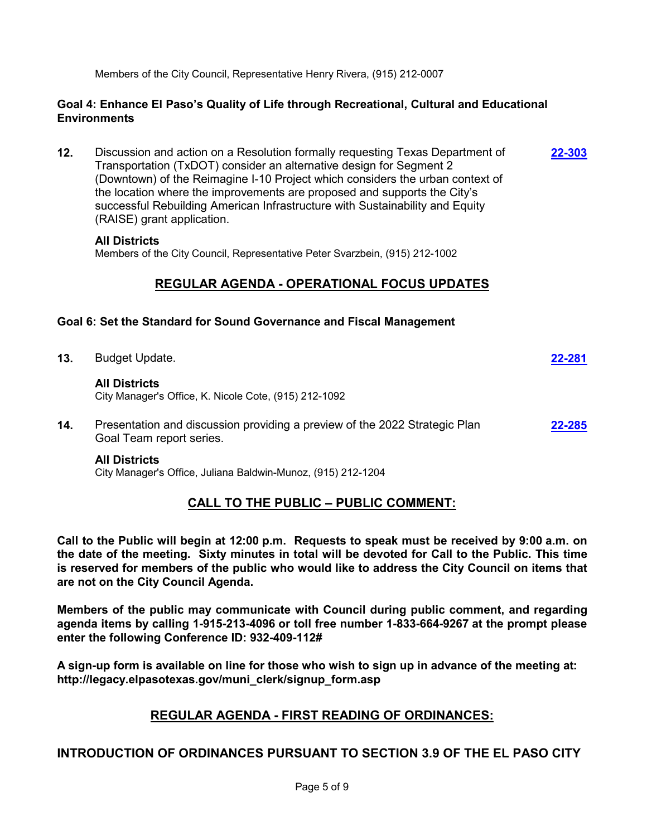Members of the City Council, Representative Henry Rivera, (915) 212-0007

### **Goal 4: Enhance El Paso's Quality of Life through Recreational, Cultural and Educational Environments**

**12.** Discussion and action on a Resolution formally requesting Texas Department of Transportation (TxDOT) consider an alternative design for Segment 2 (Downtown) of the Reimagine I-10 Project which considers the urban context of the location where the improvements are proposed and supports the City's successful Rebuilding American Infrastructure with Sustainability and Equity (RAISE) grant application. **[22-303](http://elpasotexas.legistar.com/gateway.aspx?m=l&id=/matter.aspx?key=6767)**

### **All Districts**

Members of the City Council, Representative Peter Svarzbein, (915) 212-1002

# **REGULAR AGENDA - OPERATIONAL FOCUS UPDATES**

### **Goal 6: Set the Standard for Sound Governance and Fiscal Management**

- **13.** Budget Update. **[22-281](http://elpasotexas.legistar.com/gateway.aspx?m=l&id=/matter.aspx?key=6745) All Districts** City Manager's Office, K. Nicole Cote, (915) 212-1092
- **14.** Presentation and discussion providing a preview of the 2022 Strategic Plan Goal Team report series. **[22-285](http://elpasotexas.legistar.com/gateway.aspx?m=l&id=/matter.aspx?key=6749)**

### **All Districts**

City Manager's Office, Juliana Baldwin-Munoz, (915) 212-1204

### **CALL TO THE PUBLIC – PUBLIC COMMENT:**

**Call to the Public will begin at 12:00 p.m. Requests to speak must be received by 9:00 a.m. on the date of the meeting. Sixty minutes in total will be devoted for Call to the Public. This time is reserved for members of the public who would like to address the City Council on items that are not on the City Council Agenda.**

**Members of the public may communicate with Council during public comment, and regarding agenda items by calling 1-915-213-4096 or toll free number 1-833-664-9267 at the prompt please enter the following Conference ID: 932-409-112#**

**A sign-up form is available on line for those who wish to sign up in advance of the meeting at: http://legacy.elpasotexas.gov/muni\_clerk/signup\_form.asp**

### **REGULAR AGENDA - FIRST READING OF ORDINANCES:**

### **INTRODUCTION OF ORDINANCES PURSUANT TO SECTION 3.9 OF THE EL PASO CITY**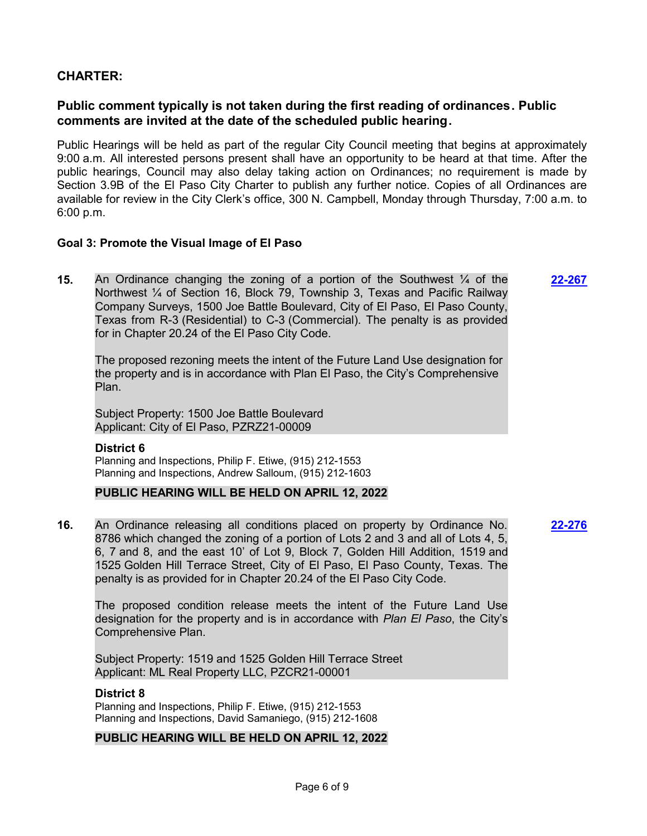### **CHARTER:**

### **Public comment typically is not taken during the first reading of ordinances. Public comments are invited at the date of the scheduled public hearing.**

Public Hearings will be held as part of the regular City Council meeting that begins at approximately 9:00 a.m. All interested persons present shall have an opportunity to be heard at that time. After the public hearings, Council may also delay taking action on Ordinances; no requirement is made by Section 3.9B of the El Paso City Charter to publish any further notice. Copies of all Ordinances are available for review in the City Clerk's office, 300 N. Campbell, Monday through Thursday, 7:00 a.m. to 6:00 p.m.

**[22-267](http://elpasotexas.legistar.com/gateway.aspx?m=l&id=/matter.aspx?key=6731)**

**[22-276](http://elpasotexas.legistar.com/gateway.aspx?m=l&id=/matter.aspx?key=6740)**

#### **Goal 3: Promote the Visual Image of El Paso**

**15.** An Ordinance changing the zoning of a portion of the Southwest ¼ of the Northwest ¼ of Section 16, Block 79, Township 3, Texas and Pacific Railway Company Surveys, 1500 Joe Battle Boulevard, City of El Paso, El Paso County, Texas from R-3 (Residential) to C-3 (Commercial). The penalty is as provided for in Chapter 20.24 of the El Paso City Code.

The proposed rezoning meets the intent of the Future Land Use designation for the property and is in accordance with Plan El Paso, the City's Comprehensive Plan.

Subject Property: 1500 Joe Battle Boulevard Applicant: City of El Paso, PZRZ21-00009

#### **District 6**

Planning and Inspections, Philip F. Etiwe, (915) 212-1553 Planning and Inspections, Andrew Salloum, (915) 212-1603

#### **PUBLIC HEARING WILL BE HELD ON APRIL 12, 2022**

**16.** An Ordinance releasing all conditions placed on property by Ordinance No. 8786 which changed the zoning of a portion of Lots 2 and 3 and all of Lots 4, 5, 6, 7 and 8, and the east 10' of Lot 9, Block 7, Golden Hill Addition, 1519 and 1525 Golden Hill Terrace Street, City of El Paso, El Paso County, Texas. The penalty is as provided for in Chapter 20.24 of the El Paso City Code.

The proposed condition release meets the intent of the Future Land Use designation for the property and is in accordance with *Plan El Paso*, the City's Comprehensive Plan.

Subject Property: 1519 and 1525 Golden Hill Terrace Street Applicant: ML Real Property LLC, PZCR21-00001

#### **District 8**

Planning and Inspections, Philip F. Etiwe, (915) 212-1553 Planning and Inspections, David Samaniego, (915) 212-1608

#### **PUBLIC HEARING WILL BE HELD ON APRIL 12, 2022**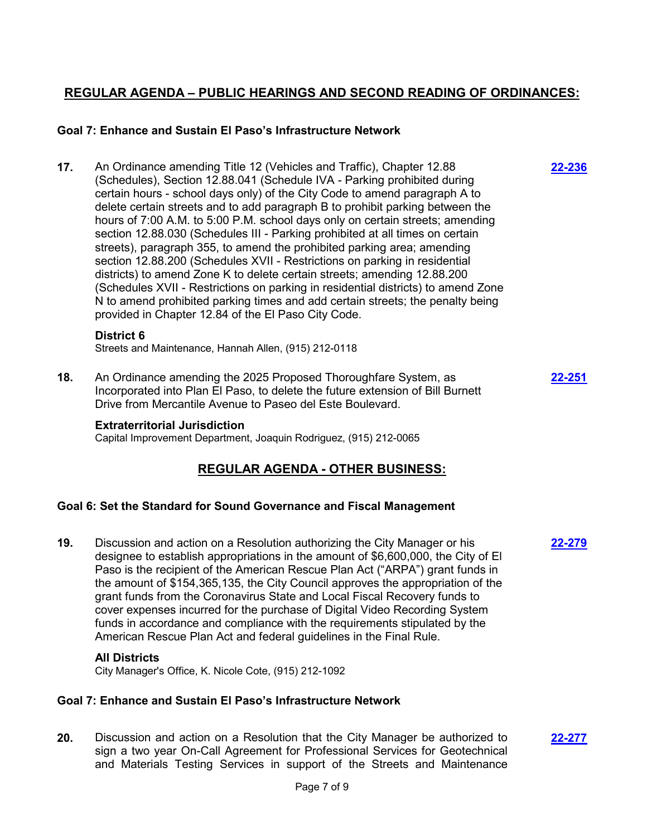# **REGULAR AGENDA – PUBLIC HEARINGS AND SECOND READING OF ORDINANCES:**

**[22-236](http://elpasotexas.legistar.com/gateway.aspx?m=l&id=/matter.aspx?key=6700)**

**[22-279](http://elpasotexas.legistar.com/gateway.aspx?m=l&id=/matter.aspx?key=6743)**

### **Goal 7: Enhance and Sustain El Paso's Infrastructure Network**

**17.** An Ordinance amending Title 12 (Vehicles and Traffic), Chapter 12.88 (Schedules), Section 12.88.041 (Schedule IVA - Parking prohibited during certain hours - school days only) of the City Code to amend paragraph A to delete certain streets and to add paragraph B to prohibit parking between the hours of 7:00 A.M. to 5:00 P.M. school days only on certain streets; amending section 12.88.030 (Schedules III - Parking prohibited at all times on certain streets), paragraph 355, to amend the prohibited parking area; amending section 12.88.200 (Schedules XVII - Restrictions on parking in residential districts) to amend Zone K to delete certain streets; amending 12.88.200 (Schedules XVII - Restrictions on parking in residential districts) to amend Zone N to amend prohibited parking times and add certain streets; the penalty being provided in Chapter 12.84 of the El Paso City Code.

#### **District 6**

Streets and Maintenance, Hannah Allen, (915) 212-0118

**18.** An Ordinance amending the 2025 Proposed Thoroughfare System, as Incorporated into Plan El Paso, to delete the future extension of Bill Burnett Drive from Mercantile Avenue to Paseo del Este Boulevard. **[22-251](http://elpasotexas.legistar.com/gateway.aspx?m=l&id=/matter.aspx?key=6715)**

#### **Extraterritorial Jurisdiction**

Capital Improvement Department, Joaquin Rodriguez, (915) 212-0065

### **REGULAR AGENDA - OTHER BUSINESS:**

#### **Goal 6: Set the Standard for Sound Governance and Fiscal Management**

**19.** Discussion and action on a Resolution authorizing the City Manager or his designee to establish appropriations in the amount of \$6,600,000, the City of El Paso is the recipient of the American Rescue Plan Act ("ARPA") grant funds in the amount of \$154,365,135, the City Council approves the appropriation of the grant funds from the Coronavirus State and Local Fiscal Recovery funds to cover expenses incurred for the purchase of Digital Video Recording System funds in accordance and compliance with the requirements stipulated by the American Rescue Plan Act and federal guidelines in the Final Rule.

#### **All Districts**

City Manager's Office, K. Nicole Cote, (915) 212-1092

#### **Goal 7: Enhance and Sustain El Paso's Infrastructure Network**

**20.** Discussion and action on a Resolution that the City Manager be authorized to sign a two year On-Call Agreement for Professional Services for Geotechnical and Materials Testing Services in support of the Streets and Maintenance **[22-277](http://elpasotexas.legistar.com/gateway.aspx?m=l&id=/matter.aspx?key=6741)**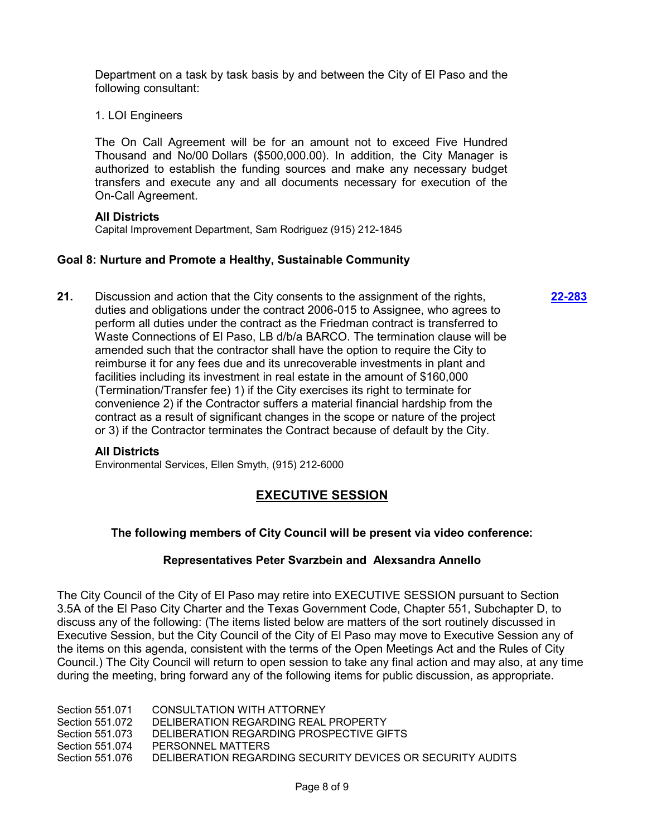Department on a task by task basis by and between the City of El Paso and the following consultant:

1. LOI Engineers

The On Call Agreement will be for an amount not to exceed Five Hundred Thousand and No/00 Dollars (\$500,000.00). In addition, the City Manager is authorized to establish the funding sources and make any necessary budget transfers and execute any and all documents necessary for execution of the On-Call Agreement.

#### **All Districts**

Capital Improvement Department, Sam Rodriguez (915) 212-1845

#### **Goal 8: Nurture and Promote a Healthy, Sustainable Community**

**21.** Discussion and action that the City consents to the assignment of the rights, duties and obligations under the contract 2006-015 to Assignee, who agrees to perform all duties under the contract as the Friedman contract is transferred to Waste Connections of El Paso, LB d/b/a BARCO. The termination clause will be amended such that the contractor shall have the option to require the City to reimburse it for any fees due and its unrecoverable investments in plant and facilities including its investment in real estate in the amount of \$160,000 (Termination/Transfer fee) 1) if the City exercises its right to terminate for convenience 2) if the Contractor suffers a material financial hardship from the contract as a result of significant changes in the scope or nature of the project or 3) if the Contractor terminates the Contract because of default by the City.

#### **All Districts**

Environmental Services, Ellen Smyth, (915) 212-6000

# **EXECUTIVE SESSION**

### **The following members of City Council will be present via video conference:**

#### **Representatives Peter Svarzbein and Alexsandra Annello**

The City Council of the City of El Paso may retire into EXECUTIVE SESSION pursuant to Section 3.5A of the El Paso City Charter and the Texas Government Code, Chapter 551, Subchapter D, to discuss any of the following: (The items listed below are matters of the sort routinely discussed in Executive Session, but the City Council of the City of El Paso may move to Executive Session any of the items on this agenda, consistent with the terms of the Open Meetings Act and the Rules of City Council.) The City Council will return to open session to take any final action and may also, at any time during the meeting, bring forward any of the following items for public discussion, as appropriate.

Section 551.071 CONSULTATION WITH ATTORNEY

Section 551.072 DELIBERATION REGARDING REAL PROPERTY

Section 551.073 DELIBERATION REGARDING PROSPECTIVE GIFTS

Section 551.074 PERSONNEL MATTERS

Section 551.076 DELIBERATION REGARDING SECURITY DEVICES OR SECURITY AUDITS

**[22-283](http://elpasotexas.legistar.com/gateway.aspx?m=l&id=/matter.aspx?key=6747)**